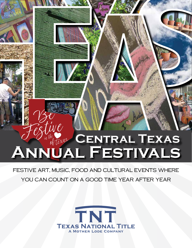# **Central Texas Annual Festivals**

## Festive Art, Music, Food and Cultural Events where

## YOU CAN COUNT ON A GOOD TIME YEAR AFTER YEAR

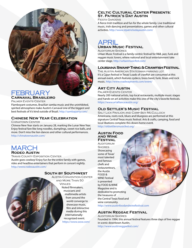#### **Celtic Cultural Center Presents: St. Patrick's Day Austin**

Fiesta Gardens

A fierce Irish tradition and fun for the whole family. Live traditional music, Irish dancing and presentations, games and other cultural activities. http://www.stpatricksdayaustin.com/

## APRIL **Urban Music Festival**

Auditorium Shores

Urban Music Festival is a family-centric festival for R&B, jazz, funk and reggae music lovers, where national and local entertainment take center stage. http://urbanmusicfest.com/

#### **Louisiana Swamp Thing & Crawfish Festival**

The Austin American Statesman parking lot It's a Cajun festival in Texas! Loads of crawfish are consumed at this annual event, which features zydeco, brass band, funk, blues and rock music. http://www.roadwayevents.com/event/

#### **ART CITY AUSTIN**

Palmer Events Center

Nearly 200 national artists, top local restaurants, multiple music stages and hands-on art activities make this one of the city's favorite festivals. https://www.artallianceaustin.org/

#### **Old Settler's Music Festival**

Salt Lick Pavilion and Camp Ben McCulloch Americana, roots rock, blues and bluegrass are performed at this signature Central Texas music festival. Arts & crafts, camping, food and local libations complete this down-home event. http://oldsettlersmusicfest.org/

#### **Austin Food and Wine Festival**

**AUDITORIUM SHORES** Showcasing some of Texas' most talented and famous chefs and restauranteurs, the Austin FOOD & WINE Festival is presented by FOOD & WINE Magazine and is dedicated to promoting the treasures of the Central Texas food and wine community. http://www.austinfoodandwinefestival.com

#### **Austin Reggae Festival**

Auditorium Shores Founded in 1994, this annual festival features three days of live reggae in scenic downtown Austin. http://www.austinreggaefest.com/

#### FEBRUARY **Carnaval Brasileiro**

Palmer Events Center

Flamboyant costumes, Brazilian samba music and the uninhibited, spirited atmosphere make Austin's Carnaval one of the biggest and best festivals of it's kind outside of Brazil. http://sambaparty.com/

#### **Chinese New Year Celebration**

Chinatown Center

Chinese New Year starts on January 28, marking the Lunar New Year. Enjoy festival fare like long noodles, dumplings, sweet rice balls, and more. Don't miss the lion dances and other cultural performances. http://chinatownaustin.com/

## MARCH **Rodeo Austin**

Travis County Exposition Center Austin goes cowboy! Enjoy fun for the entire family with games, rides and headline entertainers that perform in concert nightly. http://www.rodeoaustin.com/

#### **South by Southwest**

Austin Convention Center and More Than 50 **VENUES** Noted filmmakers, musicians and multimedia artists from around the world converge to showcase music, film and interactive media during this internationallyrecognized event. https://www.sxsw.com/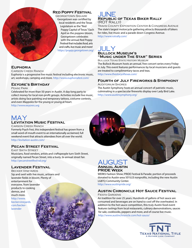#### **Red Poppy Festival**

**GEORGETOWN SQUARE** Georgetown was certified by local residents and the Texas Legislature as the "Red Poppy Capital of Texas." Each April as the poppies bloom, Georgetown celebrates with the annual Red Poppy Festival that includes food, arts and crafts, live music and more!

https://poppy.georgetown.org/

#### JUNE **Republic of Texas Biker Rally**  (ROT Rally)

Travis County Exposition Center & Congress Avenue The state's largest motorcycle gathering attracts thousands of bikers for rides, live music and a parade down Congress Avenue. http://www.rotrally.com/

#### JULY **Bullock Museum's "Music under The Star" Series**

Bullock Texas State History Museum

The Bullock Museum hosts an annual, free concert series every Friday in July. This event features performances by local musicians and guests are treated to complimentary tacos and teas.

http://www.thestoryoftexas.com/

#### **Fourth of July Fireworks & Symphony**

Auditorium Shores The Austin Symphony hosts an annual concert of patriotic music, culminating in a spectacular fireworks display over Lady Bird Lake. http://www.austinsymphony.org/

#### **Euphoria**

Carson Creek Ranch

Euphoria is a progressive live music festival including electronic music, art, workshops, camping and more. http://www.euphoriafest.com/

#### **Eeyore's Birthday**

Pease Park

Celebrated for more than 50 years in Austin. A day-long party to collect money for local non-profit groups. Activities include live music, artists doing face painting and temporary tattoos, costume contests, and even Maypoles for the young or young at heart. http://www.eeyores.org

MAY **LEVITATION MUSIC FESTIVAL** 

Carson Creek Ranch Formerly Psych Fest, this independent festival has grown from a small word-of-mouth event to an internationally acclaimed, full weekend event that attracts attendees from all over the world. http://levitation-austin.com/

#### **Pecan Street Festival**

East Sixth Street

Musicians, food vendors, artists and craftspeople turn Sixth Street, originally named Pecan Street, into a lively, bi-annual street fair. http://pecanstreetfestival.org/

#### **Lavender Festival**

Becker Vineyards Sip and swirl with live music, artisans and lavender fields in bloom. Plenty of entertainment for everyone, from lavender products to cooking demos, and much more. http://www. beckervineyards. com/beckerlavender

#### AUGUST **Annual Austin PRIDE Week**

WERKS Fashion Show; PRIDE Festival & Parade; portion of proceeds donated to Austin-area 501(c)3 nonprofits, including the new Austin LGBTQ Community Center.

http://www.austinpride.org/

#### **Austin Chronicle Hot Sauce Festival** Fiesta Gardens

An tradition for over 25 years. Hundreds of gallons of hot sauce are consumed and beverages are on hand to cool off the overheated. In addition to the hot sauce competition, this truly Austin food event features tastings from local restaurants, culinary demonstrations, sauces for sale, cookbooks, peppers and more, and of course live music. http://www.austinchronicle.com/hot-sauce/